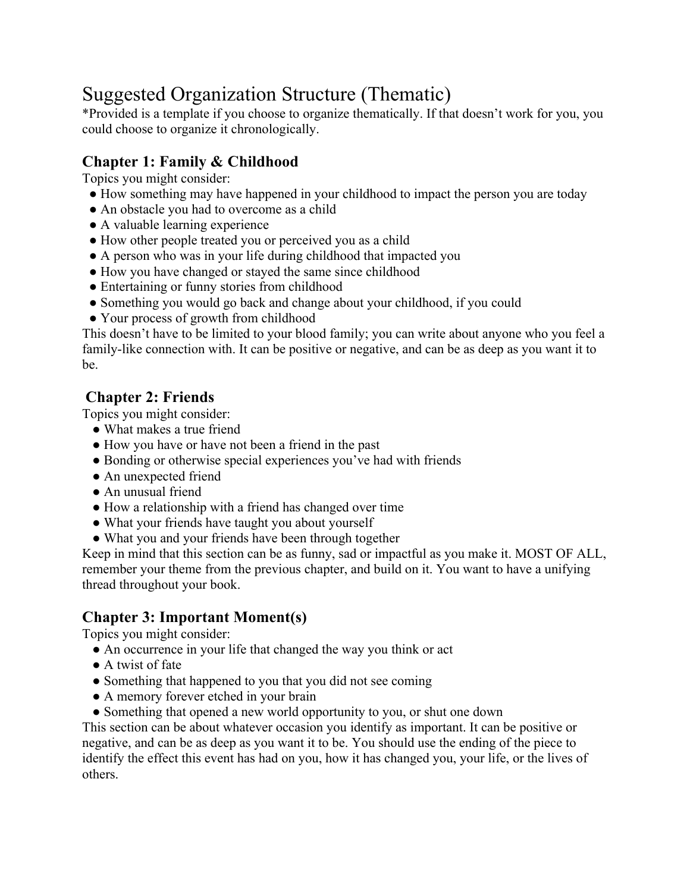# Suggested Organization Structure (Thematic)

\*Provided is a template if you choose to organize thematically. If that doesn't work for you, you could choose to organize it chronologically.

# **Chapter 1: Family & Childhood**

Topics you might consider:

- How something may have happened in your childhood to impact the person you are today
- An obstacle you had to overcome as a child
- A valuable learning experience
- How other people treated you or perceived you as a child
- A person who was in your life during childhood that impacted you
- How you have changed or stayed the same since childhood
- Entertaining or funny stories from childhood
- Something you would go back and change about your childhood, if you could
- Your process of growth from childhood

This doesn't have to be limited to your blood family; you can write about anyone who you feel a family-like connection with. It can be positive or negative, and can be as deep as you want it to be.

# **Chapter 2: Friends**

Topics you might consider:

- What makes a true friend
- How you have or have not been a friend in the past
- Bonding or otherwise special experiences you've had with friends
- An unexpected friend
- An unusual friend
- How a relationship with a friend has changed over time
- What your friends have taught you about yourself
- What you and your friends have been through together

Keep in mind that this section can be as funny, sad or impactful as you make it. MOST OF ALL, remember your theme from the previous chapter, and build on it. You want to have a unifying thread throughout your book.

#### **Chapter 3: Important Moment(s)**

Topics you might consider:

- An occurrence in your life that changed the way you think or act
- A twist of fate
- Something that happened to you that you did not see coming
- A memory forever etched in your brain
- Something that opened a new world opportunity to you, or shut one down

This section can be about whatever occasion you identify as important. It can be positive or negative, and can be as deep as you want it to be. You should use the ending of the piece to identify the effect this event has had on you, how it has changed you, your life, or the lives of others.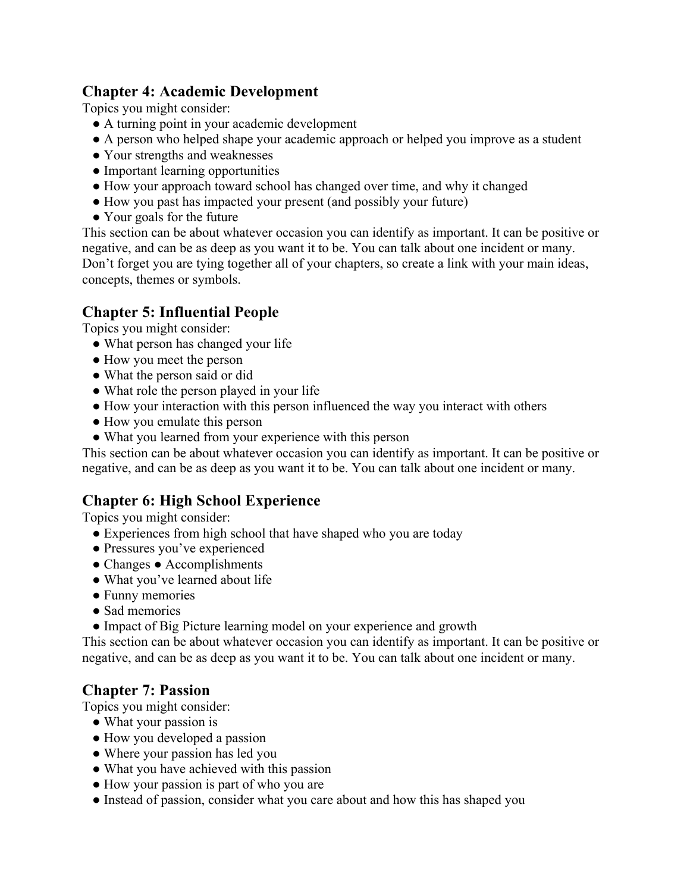#### **Chapter 4: Academic Development**

Topics you might consider:

- A turning point in your academic development
- A person who helped shape your academic approach or helped you improve as a student
- Your strengths and weaknesses
- Important learning opportunities
- How your approach toward school has changed over time, and why it changed
- How you past has impacted your present (and possibly your future)
- Your goals for the future

This section can be about whatever occasion you can identify as important. It can be positive or negative, and can be as deep as you want it to be. You can talk about one incident or many. Don't forget you are tying together all of your chapters, so create a link with your main ideas, concepts, themes or symbols.

# **Chapter 5: Influential People**

Topics you might consider:

- What person has changed your life
- How you meet the person
- What the person said or did
- What role the person played in your life
- How your interaction with this person influenced the way you interact with others
- How you emulate this person
- What you learned from your experience with this person

This section can be about whatever occasion you can identify as important. It can be positive or negative, and can be as deep as you want it to be. You can talk about one incident or many.

# **Chapter 6: High School Experience**

Topics you might consider:

- Experiences from high school that have shaped who you are today
- Pressures you've experienced
- Changes Accomplishments
- What you've learned about life
- Funny memories
- Sad memories
- Impact of Big Picture learning model on your experience and growth

This section can be about whatever occasion you can identify as important. It can be positive or negative, and can be as deep as you want it to be. You can talk about one incident or many.

#### **Chapter 7: Passion**

Topics you might consider:

- What your passion is
- How you developed a passion
- Where your passion has led you
- What you have achieved with this passion
- How your passion is part of who you are
- Instead of passion, consider what you care about and how this has shaped you